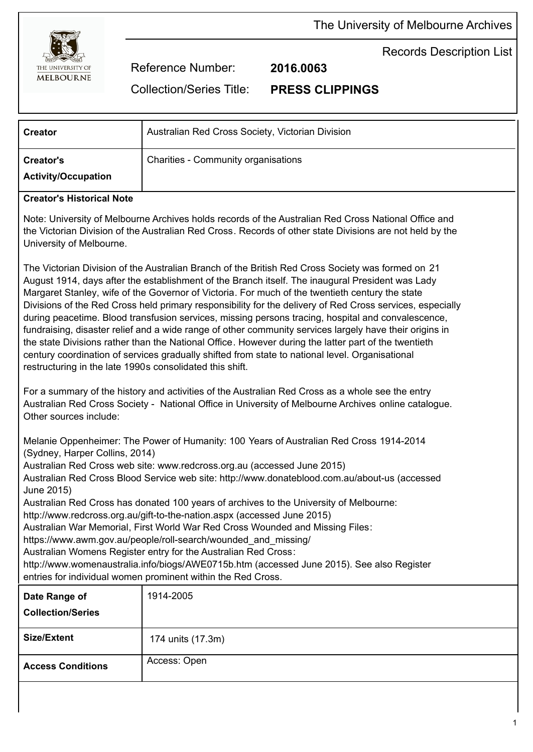



Records Description List

Reference Number: **2016.0063**

Collection/Series Title: **PRESS CLIPPINGS**

| <b>Creator</b>                                 | Australian Red Cross Society, Victorian Division |
|------------------------------------------------|--------------------------------------------------|
| <b>Creator's</b><br><b>Activity/Occupation</b> | <b>Charities - Community organisations</b>       |

## **Creator's Historical Note**

Note: University of Melbourne Archives holds records of the Australian Red Cross National Office and the Victorian Division of the Australian Red Cross. Records of other state Divisions are not held by the University of Melbourne.

The Victorian Division of the Australian Branch of the British Red Cross Society was formed on 21 August 1914, days after the establishment of the Branch itself. The inaugural President was Lady Margaret Stanley, wife of the Governor of Victoria. For much of the twentieth century the state Divisions of the Red Cross held primary responsibility for the delivery of Red Cross services, especially during peacetime. Blood transfusion services, missing persons tracing, hospital and convalescence, fundraising, disaster relief and a wide range of other community services largely have their origins in the state Divisions rather than the National Office. However during the latter part of the twentieth century coordination of services gradually shifted from state to national level. Organisational restructuring in the late 1990s consolidated this shift.

For a summary of the history and activities of the Australian Red Cross as a whole see the entry Australian Red Cross Society - National Office in University of Melbourne Archives online catalogue. Other sources include:

Melanie Oppenheimer: The Power of Humanity: 100 Years of Australian Red Cross 1914-2014 (Sydney, Harper Collins, 2014)

Australian Red Cross web site: www.redcross.org.au (accessed June 2015)

Australian Red Cross Blood Service web site: http://www.donateblood.com.au/about-us (accessed June 2015)

Australian Red Cross has donated 100 years of archives to the University of Melbourne:

http://www.redcross.org.au/gift-to-the-nation.aspx (accessed June 2015)

Australian War Memorial, First World War Red Cross Wounded and Missing Files:

https://www.awm.gov.au/people/roll-search/wounded\_and\_missing/

Australian Womens Register entry for the Australian Red Cross:

http://www.womenaustralia.info/biogs/AWE0715b.htm (accessed June 2015). See also Register entries for individual women prominent within the Red Cross.

| Date Range of<br><b>Collection/Series</b> | 1914-2005         |
|-------------------------------------------|-------------------|
| <b>Size/Extent</b>                        | 174 units (17.3m) |
| <b>Access Conditions</b>                  | Access: Open      |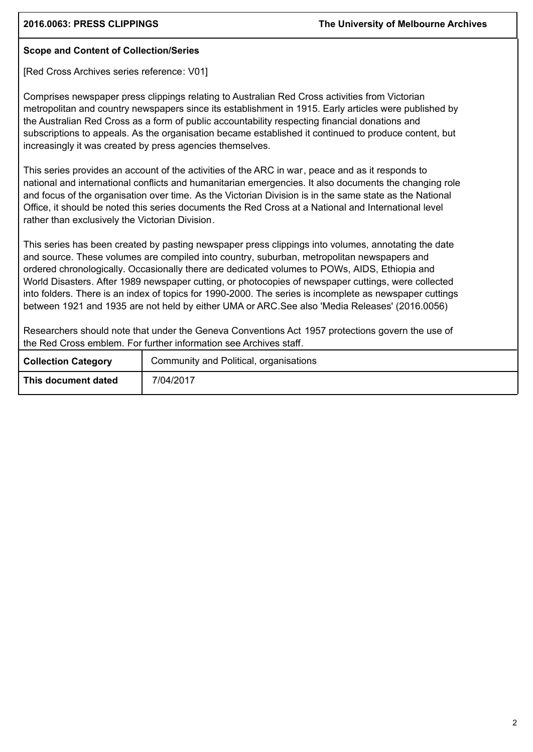## **Scope and Content of Collection/Series**

[Red Cross Archives series reference: V01]

Comprises newspaper press clippings relating to Australian Red Cross activities from Victorian metropolitan and country newspapers since its establishment in 1915. Early articles were published by the Australian Red Cross as a form of public accountability respecting financial donations and subscriptions to appeals. As the organisation became established it continued to produce content, but increasingly it was created by press agencies themselves.

This series provides an account of the activities of the ARC in war, peace and as it responds to national and international conflicts and humanitarian emergencies. It also documents the changing role and focus of the organisation over time. As the Victorian Division is in the same state as the National Office, it should be noted this series documents the Red Cross at a National and International level rather than exclusively the Victorian Division.

This series has been created by pasting newspaper press clippings into volumes, annotating the date and source. These volumes are compiled into country, suburban, metropolitan newspapers and ordered chronologically. Occasionally there are dedicated volumes to POWs, AIDS, Ethiopia and World Disasters. After 1989 newspaper cutting, or photocopies of newspaper cuttings, were collected into folders. There is an index of topics for 1990-2000. The series is incomplete as newspaper cuttings between 1921 and 1935 are not held by either UMA or ARC.See also 'Media Releases' (2016.0056)

Researchers should note that under the Geneva Conventions Act 1957 protections govern the use of the Red Cross emblem. For further information see Archives staff.

| <b>Collection Category</b> | Community and Political, organisations |  |  |
|----------------------------|----------------------------------------|--|--|
| This document dated        | 7/04/2017                              |  |  |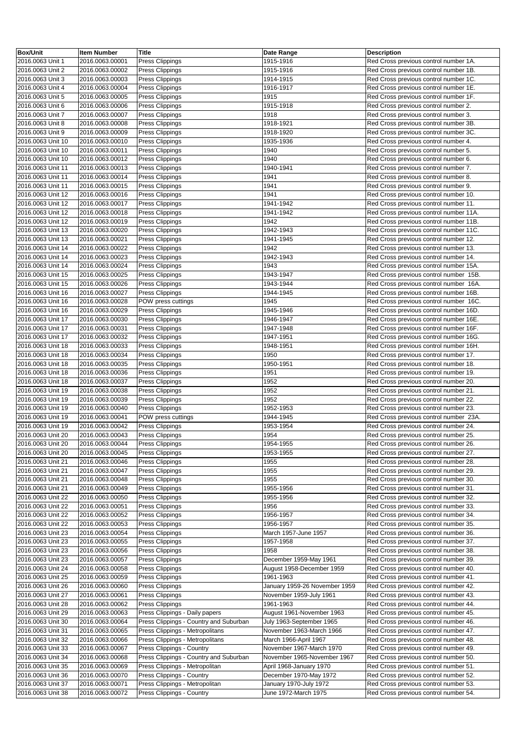| <b>Box/Unit</b>   | <b>Item Number</b> | <b>Title</b>                           | <b>Date Range</b>             | <b>Description</b>                     |
|-------------------|--------------------|----------------------------------------|-------------------------------|----------------------------------------|
| 2016.0063 Unit 1  | 2016.0063.00001    | Press Clippings                        | 1915-1916                     | Red Cross previous control number 1A.  |
| 2016.0063 Unit 2  | 2016.0063.00002    | Press Clippings                        | 1915-1916                     | Red Cross previous control number 1B.  |
| 2016.0063 Unit 3  | 2016.0063.00003    |                                        | 1914-1915                     |                                        |
|                   |                    | Press Clippings                        |                               | Red Cross previous control number 1C.  |
| 2016.0063 Unit 4  | 2016.0063.00004    | Press Clippings                        | 1916-1917                     | Red Cross previous control number 1E.  |
| 2016.0063 Unit 5  | 2016.0063.00005    | Press Clippings                        | 1915                          | Red Cross previous control number 1F.  |
| 2016.0063 Unit 6  | 2016.0063.00006    | Press Clippings                        | 1915-1918                     | Red Cross previous control number 2.   |
| 2016.0063 Unit 7  | 2016.0063.00007    | Press Clippings                        | 1918                          | Red Cross previous control number 3.   |
| 2016.0063 Unit 8  | 2016.0063.00008    | Press Clippings                        | 1918-1921                     | Red Cross previous control number 3B.  |
| 2016.0063 Unit 9  | 2016.0063.00009    | Press Clippings                        | 1918-1920                     | Red Cross previous control number 3C.  |
| 2016.0063 Unit 10 | 2016.0063.00010    | Press Clippings                        | 1935-1936                     | Red Cross previous control number 4.   |
| 2016.0063 Unit 10 | 2016.0063.00011    | Press Clippings                        | 1940                          | Red Cross previous control number 5.   |
| 2016.0063 Unit 10 | 2016.0063.00012    | Press Clippings                        | 1940                          | Red Cross previous control number 6.   |
| 2016.0063 Unit 11 | 2016.0063.00013    | Press Clippings                        | 1940-1941                     | Red Cross previous control number 7.   |
| 2016.0063 Unit 11 | 2016.0063.00014    |                                        | 1941                          |                                        |
|                   |                    | Press Clippings                        |                               | Red Cross previous control number 8.   |
| 2016.0063 Unit 11 | 2016.0063.00015    | Press Clippings                        | 1941                          | Red Cross previous control number 9.   |
| 2016.0063 Unit 12 | 2016.0063.00016    | Press Clippings                        | 1941                          | Red Cross previous control number 10.  |
| 2016.0063 Unit 12 | 2016.0063.00017    | Press Clippings                        | 1941-1942                     | Red Cross previous control number 11.  |
| 2016.0063 Unit 12 | 2016.0063.00018    | Press Clippings                        | 1941-1942                     | Red Cross previous control number 11A. |
| 2016.0063 Unit 12 | 2016.0063.00019    | Press Clippings                        | 1942                          | Red Cross previous control number 11B. |
| 2016.0063 Unit 13 | 2016.0063.00020    | Press Clippings                        | 1942-1943                     | Red Cross previous control number 11C. |
| 2016.0063 Unit 13 | 2016.0063.00021    | Press Clippings                        | 1941-1945                     | Red Cross previous control number 12.  |
| 2016.0063 Unit 14 | 2016.0063.00022    | Press Clippings                        | 1942                          | Red Cross previous control number 13.  |
| 2016.0063 Unit 14 | 2016.0063.00023    | Press Clippings                        | 1942-1943                     | Red Cross previous control number 14.  |
| 2016.0063 Unit 14 | 2016.0063.00024    | Press Clippings                        | 1943                          | Red Cross previous control number 15A. |
|                   |                    |                                        |                               |                                        |
| 2016.0063 Unit 15 | 2016.0063.00025    | Press Clippings                        | 1943-1947                     | Red Cross previous control number 15B. |
| 2016.0063 Unit 15 | 2016.0063.00026    | Press Clippings                        | 1943-1944                     | Red Cross previous control number 16A. |
| 2016.0063 Unit 16 | 2016.0063.00027    | Press Clippings                        | 1944-1945                     | Red Cross previous control number 16B. |
| 2016.0063 Unit 16 | 2016.0063.00028    | POW press cuttings                     | 1945                          | Red Cross previous control number 16C. |
| 2016.0063 Unit 16 | 2016.0063.00029    | Press Clippings                        | 1945-1946                     | Red Cross previous control number 16D. |
| 2016.0063 Unit 17 | 2016.0063.00030    | Press Clippings                        | 1946-1947                     | Red Cross previous control number 16E. |
| 2016.0063 Unit 17 | 2016.0063.00031    | Press Clippings                        | 1947-1948                     | Red Cross previous control number 16F. |
| 2016.0063 Unit 17 | 2016.0063.00032    | Press Clippings                        | 1947-1951                     | Red Cross previous control number 16G. |
| 2016.0063 Unit 18 | 2016.0063.00033    | Press Clippings                        | 1948-1951                     | Red Cross previous control number 16H. |
| 2016.0063 Unit 18 | 2016.0063.00034    | <b>Press Clippings</b>                 | 1950                          | Red Cross previous control number 17.  |
| 2016.0063 Unit 18 | 2016.0063.00035    | Press Clippings                        | 1950-1951                     | Red Cross previous control number 18.  |
|                   |                    |                                        | 1951                          |                                        |
| 2016.0063 Unit 18 | 2016.0063.00036    | Press Clippings                        |                               | Red Cross previous control number 19.  |
| 2016.0063 Unit 18 | 2016.0063.00037    | Press Clippings                        | 1952                          | Red Cross previous control number 20.  |
| 2016.0063 Unit 19 | 2016.0063.00038    | Press Clippings                        | 1952                          | Red Cross previous control number 21.  |
| 2016.0063 Unit 19 | 2016.0063.00039    | Press Clippings                        | 1952                          | Red Cross previous control number 22.  |
| 2016.0063 Unit 19 | 2016.0063.00040    | Press Clippings                        | 1952-1953                     | Red Cross previous control number 23.  |
| 2016.0063 Unit 19 | 2016.0063.00041    | POW press cuttings                     | 1944-1945                     | Red Cross previous control number 23A. |
| 2016.0063 Unit 19 | 2016.0063.00042    | Press Clippings                        | 1953-1954                     | Red Cross previous control number 24.  |
| 2016.0063 Unit 20 | 2016.0063.00043    | Press Clippings                        | 1954                          | Red Cross previous control number 25.  |
| 2016.0063 Unit 20 | 2016.0063.00044    | Press Clippings                        | 1954-1955                     | Red Cross previous control number 26.  |
| 2016.0063 Unit 20 | 2016.0063.00045    | Press Clippings                        | 1953-1955                     | Red Cross previous control number 27.  |
| 2016.0063 Unit 21 | 2016.0063.00046    | Press Clippings                        | 1955                          | Red Cross previous control number 28.  |
| 2016.0063 Unit 21 | 2016.0063.00047    | Press Clippings                        | 1955                          | Red Cross previous control number 29.  |
|                   |                    |                                        |                               |                                        |
| 2016.0063 Unit 21 | 2016.0063.00048    | Press Clippings                        | 1955                          | Red Cross previous control number 30.  |
| 2016.0063 Unit 21 | 2016.0063.00049    | Press Clippings                        | 1955-1956                     | Red Cross previous control number 31.  |
| 2016.0063 Unit 22 | 2016.0063.00050    | Press Clippings                        | 1955-1956                     | Red Cross previous control number 32.  |
| 2016.0063 Unit 22 | 2016.0063.00051    | Press Clippings                        | 1956                          | Red Cross previous control number 33.  |
| 2016.0063 Unit 22 | 2016.0063.00052    | Press Clippings                        | 1956-1957                     | Red Cross previous control number 34.  |
| 2016.0063 Unit 22 | 2016.0063.00053    | Press Clippings                        | 1956-1957                     | Red Cross previous control number 35.  |
| 2016.0063 Unit 23 | 2016.0063.00054    | <b>Press Clippings</b>                 | March 1957-June 1957          | Red Cross previous control number 36.  |
| 2016.0063 Unit 23 | 2016.0063.00055    | Press Clippings                        | 1957-1958                     | Red Cross previous control number 37.  |
| 2016.0063 Unit 23 | 2016.0063.00056    | Press Clippings                        | 1958                          | Red Cross previous control number 38.  |
| 2016.0063 Unit 23 | 2016.0063.00057    | Press Clippings                        | December 1959-May 1961        | Red Cross previous control number 39.  |
| 2016.0063 Unit 24 | 2016.0063.00058    | Press Clippings                        | August 1958-December 1959     | Red Cross previous control number 40.  |
| 2016.0063 Unit 25 | 2016.0063.00059    | Press Clippings                        | 1961-1963                     | Red Cross previous control number 41.  |
| 2016.0063 Unit 26 | 2016.0063.00060    |                                        |                               | Red Cross previous control number 42.  |
|                   |                    | Press Clippings                        | January 1959-26 November 1959 |                                        |
| 2016.0063 Unit 27 | 2016.0063.00061    | Press Clippings                        | November 1959-July 1961       | Red Cross previous control number 43.  |
| 2016.0063 Unit 28 | 2016.0063.00062    | Press Clippings                        | 1961-1963                     | Red Cross previous control number 44.  |
| 2016.0063 Unit 29 | 2016.0063.00063    | Press Clippings - Daily papers         | August 1961-November 1963     | Red Cross previous control number 45.  |
| 2016.0063 Unit 30 | 2016.0063.00064    | Press Clippings - Country and Suburban | July 1963-September 1965      | Red Cross previous control number 46.  |
| 2016.0063 Unit 31 | 2016.0063.00065    | Press Clippings - Metropolitans        | November 1963-March 1966      | Red Cross previous control number 47.  |
| 2016.0063 Unit 32 | 2016.0063.00066    | Press Clippings - Metropolitans        | March 1966-April 1967         | Red Cross previous control number 48.  |
| 2016.0063 Unit 33 | 2016.0063.00067    | Press Clippings - Country              | November 1967-March 1970      | Red Cross previous control number 49.  |
| 2016.0063 Unit 34 | 2016.0063.00068    | Press Clippings - Country and Suburban | November 1965-November 1967   | Red Cross previous control number 50.  |
| 2016.0063 Unit 35 | 2016.0063.00069    | Press Clippings - Metropolitan         | April 1968-January 1970       | Red Cross previous control number 51.  |
| 2016.0063 Unit 36 | 2016.0063.00070    | <b>Press Clippings - Country</b>       | December 1970-May 1972        | Red Cross previous control number 52.  |
| 2016.0063 Unit 37 | 2016.0063.00071    | Press Clippings - Metropolitan         | January 1970-July 1972        | Red Cross previous control number 53.  |
|                   |                    |                                        |                               |                                        |
| 2016.0063 Unit 38 | 2016.0063.00072    | Press Clippings - Country              | June 1972-March 1975          | Red Cross previous control number 54.  |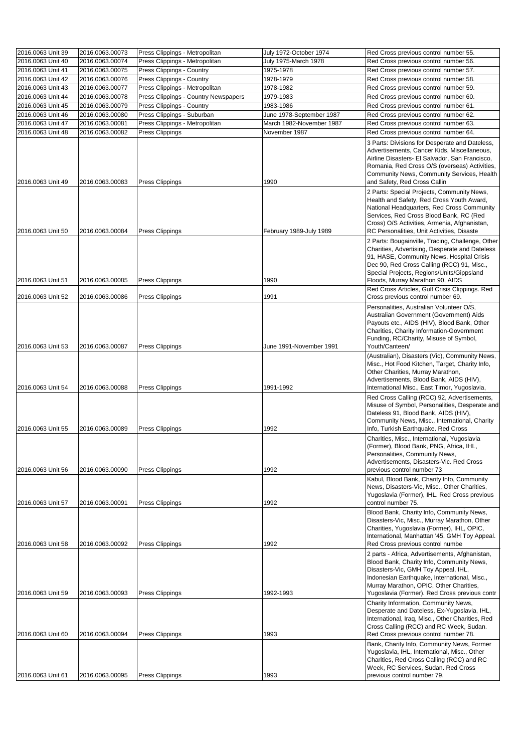| 2016.0063 Unit 39 | 2016.0063.00073 | Press Clippings - Metropolitan       | July 1972-October 1974      | Red Cross previous control number 55.                                                                                                                                                                                                                                                         |
|-------------------|-----------------|--------------------------------------|-----------------------------|-----------------------------------------------------------------------------------------------------------------------------------------------------------------------------------------------------------------------------------------------------------------------------------------------|
| 2016.0063 Unit 40 | 2016.0063.00074 | Press Clippings - Metropolitan       | <b>July 1975-March 1978</b> | Red Cross previous control number 56.                                                                                                                                                                                                                                                         |
| 2016.0063 Unit 41 | 2016.0063.00075 | Press Clippings - Country            | 1975-1978                   | Red Cross previous control number 57.                                                                                                                                                                                                                                                         |
| 2016.0063 Unit 42 | 2016.0063.00076 | Press Clippings - Country            | 1978-1979                   | Red Cross previous control number 58.                                                                                                                                                                                                                                                         |
| 2016.0063 Unit 43 | 2016.0063.00077 | Press Clippings - Metropolitan       | 1978-1982                   | Red Cross previous control number 59.                                                                                                                                                                                                                                                         |
| 2016.0063 Unit 44 | 2016.0063.00078 | Press Clippings - Country Newspapers | 1979-1983                   | Red Cross previous control number 60.                                                                                                                                                                                                                                                         |
| 2016.0063 Unit 45 | 2016.0063.00079 | Press Clippings - Country            | 1983-1986                   | Red Cross previous control number 61.                                                                                                                                                                                                                                                         |
| 2016.0063 Unit 46 | 2016.0063.00080 | Press Clippings - Suburban           | June 1978-September 1987    | Red Cross previous control number 62.                                                                                                                                                                                                                                                         |
| 2016.0063 Unit 47 | 2016.0063.00081 | Press Clippings - Metropolitan       | March 1982-November 1987    | Red Cross previous control number 63.                                                                                                                                                                                                                                                         |
| 2016.0063 Unit 48 | 2016.0063.00082 | Press Clippings                      | November 1987               | Red Cross previous control number 64.                                                                                                                                                                                                                                                         |
| 2016.0063 Unit 49 | 2016.0063.00083 | <b>Press Clippings</b>               | 1990                        | 3 Parts: Divisions for Desperate and Dateless,<br>Advertisements, Cancer Kids, Miscellaneous,<br>Airline Disasters- El Salvador, San Francisco,<br>Romania, Red Cross O/S (overseas) Activities,<br>Community News, Community Services, Health<br>and Safety, Red Cross Callin                |
| 2016.0063 Unit 50 | 2016.0063.00084 | <b>Press Clippings</b>               | February 1989-July 1989     | 2 Parts: Special Projects, Community News,<br>Health and Safety, Red Cross Youth Award,<br>National Headquarters, Red Cross Community<br>Services, Red Cross Blood Bank, RC (Red<br>Cross) O/S Activities, Armenia, Afghanistan,<br>RC Personalities, Unit Activities, Disaste                |
| 2016.0063 Unit 51 | 2016.0063.00085 | Press Clippings                      | 1990                        | 2 Parts: Bougainville, Tracing, Challenge, Other<br>Charities, Advertising, Desperate and Dateless<br>91, HASE, Community News, Hospital Crisis<br>Dec 90, Red Cross Calling (RCC) 91, Misc.,<br>Special Projects, Regions/Units/Gippsland<br>Floods, Murray Marathon 90, AIDS                |
| 2016.0063 Unit 52 | 2016.0063.00086 | <b>Press Clippings</b>               | 1991                        | Red Cross Articles, Gulf Crisis Clippings. Red<br>Cross previous control number 69.                                                                                                                                                                                                           |
| 2016.0063 Unit 53 | 2016.0063.00087 | <b>Press Clippings</b>               | June 1991-November 1991     | Personalities, Australian Volunteer O/S,<br>Australian Government (Government) Aids<br>Payouts etc., AIDS (HIV), Blood Bank, Other<br>Charities, Charity Information-Government<br>Funding, RC/Charity, Misuse of Symbol,<br>Youth/Canteen/<br>(Australian), Disasters (Vic), Community News, |
| 2016.0063 Unit 54 | 2016.0063.00088 | <b>Press Clippings</b>               | 1991-1992                   | Misc., Hot Food Kitchen, Target, Charity Info,<br>Other Charities, Murray Marathon,<br>Advertisements, Blood Bank, AIDS (HIV),<br>International Misc., East Timor, Yugoslavia,                                                                                                                |
| 2016.0063 Unit 55 | 2016.0063.00089 | <b>Press Clippings</b>               | 1992                        | Red Cross Calling (RCC) 92, Advertisements,<br>Misuse of Symbol, Personalities, Desperate and<br>Dateless 91, Blood Bank, AIDS (HIV),<br>Community News, Misc., International, Charity<br>Info, Turkish Earthquake. Red Cross                                                                 |
| 2016.0063 Unit 56 | 2016.0063.00090 | <b>Press Clippings</b>               | 1992                        | Charities, Misc., International, Yugoslavia<br>(Former), Blood Bank, PNG, Africa, IHL,<br>Personalities, Community News,<br>Advertisements, Disasters-Vic. Red Cross<br>previous control number 73                                                                                            |
|                   |                 |                                      |                             | Kabul, Blood Bank, Charity Info, Community<br>News, Disasters-Vic, Misc., Other Charities,<br>Yugoslavia (Former), IHL. Red Cross previous                                                                                                                                                    |
| 2016.0063 Unit 57 | 2016.0063.00091 | <b>Press Clippings</b>               | 1992                        | control number 75.                                                                                                                                                                                                                                                                            |
| 2016.0063 Unit 58 | 2016.0063.00092 | <b>Press Clippings</b>               | 1992                        | Blood Bank, Charity Info, Community News,<br>Disasters-Vic, Misc., Murray Marathon, Other<br>Charities, Yugoslavia (Former), IHL, OPIC,<br>International, Manhattan '45, GMH Toy Appeal.<br>Red Cross previous control numbe                                                                  |
| 2016.0063 Unit 59 |                 |                                      | 1992-1993                   | 2 parts - Africa, Advertisements, Afghanistan,<br>Blood Bank, Charity Info, Community News,<br>Disasters-Vic, GMH Toy Appeal, IHL,<br>Indonesian Earthquake, International, Misc.,<br>Murray Marathon, OPIC, Other Charities,<br>Yugoslavia (Former). Red Cross previous contr                |
|                   | 2016.0063.00093 | <b>Press Clippings</b>               |                             | Charity Information, Community News,<br>Desperate and Dateless, Ex-Yugoslavia, IHL,<br>International, Iraq, Misc., Other Charities, Red<br>Cross Calling (RCC) and RC Week, Sudan.                                                                                                            |
| 2016.0063 Unit 60 | 2016.0063.00094 | <b>Press Clippings</b>               | 1993                        | Red Cross previous control number 78.                                                                                                                                                                                                                                                         |
| 2016.0063 Unit 61 | 2016.0063.00095 | <b>Press Clippings</b>               | 1993                        | Bank, Charity Info, Community News, Former<br>Yugoslavia, IHL, International, Misc., Other<br>Charities, Red Cross Calling (RCC) and RC<br>Week, RC Services, Sudan. Red Cross<br>previous control number 79.                                                                                 |
|                   |                 |                                      |                             |                                                                                                                                                                                                                                                                                               |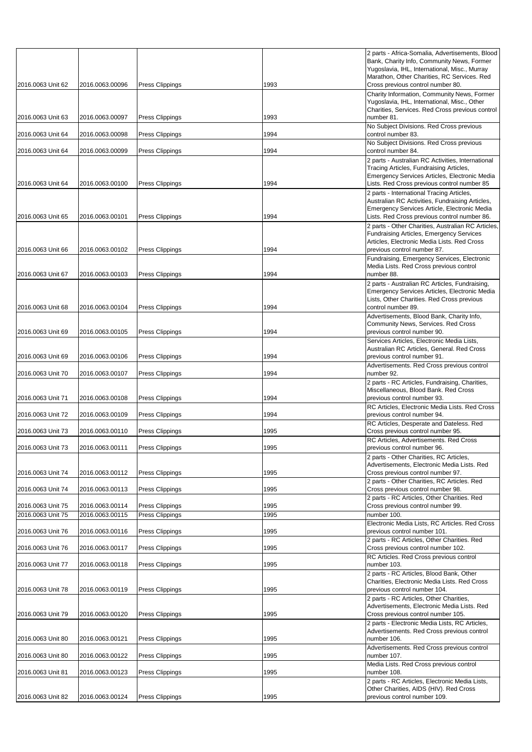|                                        |                                    |                                    |              | 2 parts - Africa-Somalia, Advertisements, Blood<br>Bank, Charity Info, Community News, Former<br>Yugoslavia, IHL, International, Misc., Murray                                               |
|----------------------------------------|------------------------------------|------------------------------------|--------------|----------------------------------------------------------------------------------------------------------------------------------------------------------------------------------------------|
| 2016.0063 Unit 62                      | 2016.0063.00096                    | <b>Press Clippings</b>             | 1993         | Marathon, Other Charities, RC Services. Red<br>Cross previous control number 80.                                                                                                             |
|                                        |                                    |                                    |              | Charity Information, Community News, Former<br>Yugoslavia, IHL, International, Misc., Other<br>Charities, Services. Red Cross previous control                                               |
| 2016.0063 Unit 63                      | 2016.0063.00097                    | <b>Press Clippings</b>             | 1993         | number 81.                                                                                                                                                                                   |
| 2016.0063 Unit 64                      | 2016.0063.00098                    | Press Clippings                    | 1994         | No Subject Divisions. Red Cross previous<br>control number 83.                                                                                                                               |
| 2016.0063 Unit 64                      | 2016.0063.00099                    | <b>Press Clippings</b>             | 1994         | No Subject Divisions. Red Cross previous<br>control number 84.                                                                                                                               |
| 2016.0063 Unit 64                      | 2016.0063.00100                    | <b>Press Clippings</b>             | 1994         | 2 parts - Australian RC Activities, International<br>Tracing Articles, Fundraising Articles,<br>Emergency Services Articles, Electronic Media<br>Lists. Red Cross previous control number 85 |
|                                        |                                    |                                    |              | 2 parts - International Tracing Articles,<br>Australian RC Activities, Fundraising Articles,<br>Emergency Services Article, Electronic Media                                                 |
| 2016.0063 Unit 65                      | 2016.0063.00101                    | <b>Press Clippings</b>             | 1994         | Lists. Red Cross previous control number 86.                                                                                                                                                 |
| 2016.0063 Unit 66                      | 2016.0063.00102                    | <b>Press Clippings</b>             | 1994         | 2 parts - Other Charities, Australian RC Articles,<br><b>Fundraising Articles, Emergency Services</b><br>Articles, Electronic Media Lists. Red Cross<br>previous control number 87.          |
| 2016.0063 Unit 67                      | 2016.0063.00103                    | <b>Press Clippings</b>             | 1994         | Fundraising, Emergency Services, Electronic<br>Media Lists. Red Cross previous control<br>number 88.                                                                                         |
| 2016.0063 Unit 68                      | 2016.0063.00104                    | <b>Press Clippings</b>             | 1994         | 2 parts - Australian RC Articles, Fundraising,<br>Emergency Services Articles, Electronic Media<br>Lists, Other Charities. Red Cross previous<br>control number 89.                          |
|                                        |                                    |                                    |              | Advertisements, Blood Bank, Charity Info,                                                                                                                                                    |
| 2016.0063 Unit 69                      | 2016.0063.00105                    | Press Clippings                    | 1994         | Community News, Services. Red Cross<br>previous control number 90.<br>Services Articles, Electronic Media Lists,                                                                             |
| 2016.0063 Unit 69                      | 2016.0063.00106                    | <b>Press Clippings</b>             | 1994         | Australian RC Articles, General. Red Cross<br>previous control number 91.                                                                                                                    |
| 2016.0063 Unit 70                      | 2016.0063.00107                    | <b>Press Clippings</b>             | 1994         | Advertisements. Red Cross previous control<br>number 92.                                                                                                                                     |
| 2016.0063 Unit 71                      | 2016.0063.00108                    | <b>Press Clippings</b>             | 1994         | 2 parts - RC Articles, Fundraising, Charities,<br>Miscellaneous, Blood Bank. Red Cross<br>previous control number 93.                                                                        |
| 2016.0063 Unit 72                      | 2016.0063.00109                    | <b>Press Clippings</b>             | 1994         | RC Articles, Electronic Media Lists. Red Cross<br>previous control number 94.                                                                                                                |
| 2016.0063 Unit 73                      | 2016.0063.00110                    | Press Clippings                    | 1995         | RC Articles, Desperate and Dateless. Red<br>Cross previous control number 95.                                                                                                                |
| 2016.0063 Unit 73                      | 2016.0063.00111                    |                                    | 1995         | RC Articles, Advertisements. Red Cross<br>previous control number 96.                                                                                                                        |
|                                        |                                    | <b>Press Clippings</b>             |              | 2 parts - Other Charities, RC Articles,                                                                                                                                                      |
| 2016.0063 Unit 74                      | 2016.0063.00112                    | <b>Press Clippings</b>             | 1995         | Advertisements, Electronic Media Lists. Red<br>Cross previous control number 97.                                                                                                             |
| 2016.0063 Unit 74                      | 2016.0063.00113                    | <b>Press Clippings</b>             | 1995         | 2 parts - Other Charities, RC Articles. Red<br>Cross previous control number 98.                                                                                                             |
|                                        |                                    |                                    |              | 2 parts - RC Articles, Other Charities. Red                                                                                                                                                  |
| 2016.0063 Unit 75<br>2016.0063 Unit 75 | 2016.0063.00114<br>2016.0063.00115 | Press Clippings<br>Press Clippings | 1995<br>1995 | Cross previous control number 99.<br>number 100.                                                                                                                                             |
| 2016.0063 Unit 76                      | 2016.0063.00116                    | Press Clippings                    | 1995         | Electronic Media Lists, RC Articles. Red Cross<br>previous control number 101.                                                                                                               |
| 2016.0063 Unit 76                      | 2016.0063.00117                    | Press Clippings                    | 1995         | 2 parts - RC Articles, Other Charities. Red<br>Cross previous control number 102.                                                                                                            |
|                                        |                                    |                                    |              | RC Articles. Red Cross previous control                                                                                                                                                      |
| 2016.0063 Unit 77                      | 2016.0063.00118                    | <b>Press Clippings</b>             | 1995         | number 103.<br>2 parts - RC Articles, Blood Bank, Other                                                                                                                                      |
| 2016.0063 Unit 78                      | 2016.0063.00119                    | <b>Press Clippings</b>             | 1995         | Charities, Electronic Media Lists. Red Cross<br>previous control number 104.                                                                                                                 |
| 2016.0063 Unit 79                      | 2016.0063.00120                    | <b>Press Clippings</b>             | 1995         | 2 parts - RC Articles, Other Charities,<br>Advertisements, Electronic Media Lists. Red<br>Cross previous control number 105.                                                                 |
| 2016.0063 Unit 80                      | 2016.0063.00121                    | <b>Press Clippings</b>             | 1995         | 2 parts - Electronic Media Lists, RC Articles,<br>Advertisements. Red Cross previous control<br>number 106.                                                                                  |
|                                        |                                    |                                    |              | Advertisements. Red Cross previous control                                                                                                                                                   |
| 2016.0063 Unit 80                      | 2016.0063.00122                    | Press Clippings                    | 1995         | number 107.<br>Media Lists. Red Cross previous control                                                                                                                                       |
| 2016.0063 Unit 81                      | 2016.0063.00123                    | <b>Press Clippings</b>             | 1995         | number 108.<br>2 parts - RC Articles, Electronic Media Lists,                                                                                                                                |
| 2016.0063 Unit 82                      | 2016.0063.00124                    | <b>Press Clippings</b>             | 1995         | Other Charities, AIDS (HIV). Red Cross<br>previous control number 109.                                                                                                                       |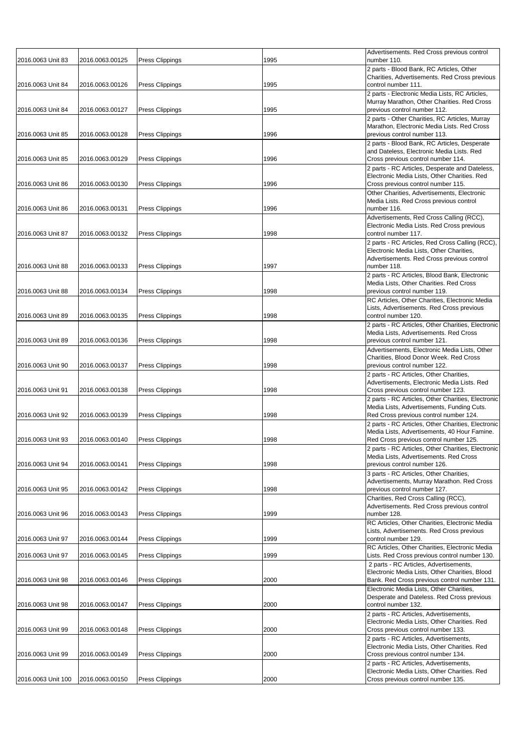| 2016.0063 Unit 83  | 2016.0063.00125 | <b>Press Clippings</b> | 1995 | Advertisements. Red Cross previous control<br>number 110.                                                                                    |
|--------------------|-----------------|------------------------|------|----------------------------------------------------------------------------------------------------------------------------------------------|
| 2016.0063 Unit 84  | 2016.0063.00126 | <b>Press Clippings</b> | 1995 | 2 parts - Blood Bank, RC Articles, Other<br>Charities, Advertisements. Red Cross previous<br>control number 111.                             |
|                    |                 |                        |      | 2 parts - Electronic Media Lists, RC Articles,<br>Murray Marathon, Other Charities. Red Cross                                                |
| 2016.0063 Unit 84  | 2016.0063.00127 | <b>Press Clippings</b> | 1995 | previous control number 112.<br>2 parts - Other Charities, RC Articles, Murray                                                               |
| 2016.0063 Unit 85  | 2016.0063.00128 | <b>Press Clippings</b> | 1996 | Marathon, Electronic Media Lists. Red Cross<br>previous control number 113.                                                                  |
| 2016.0063 Unit 85  | 2016.0063.00129 | <b>Press Clippings</b> | 1996 | 2 parts - Blood Bank, RC Articles, Desperate<br>and Dateless, Electronic Media Lists. Red<br>Cross previous control number 114.              |
|                    |                 |                        |      | 2 parts - RC Articles, Desperate and Dateless,<br>Electronic Media Lists, Other Charities. Red                                               |
| 2016.0063 Unit 86  | 2016.0063.00130 | <b>Press Clippings</b> | 1996 | Cross previous control number 115.<br>Other Charities, Advertisements, Electronic                                                            |
| 2016.0063 Unit 86  | 2016.0063.00131 | <b>Press Clippings</b> | 1996 | Media Lists. Red Cross previous control<br>number 116.                                                                                       |
|                    |                 |                        |      | Advertisements, Red Cross Calling (RCC),<br>Electronic Media Lists. Red Cross previous                                                       |
| 2016.0063 Unit 87  | 2016.0063.00132 | <b>Press Clippings</b> | 1998 | control number 117.<br>2 parts - RC Articles, Red Cross Calling (RCC),                                                                       |
| 2016.0063 Unit 88  | 2016.0063.00133 | <b>Press Clippings</b> | 1997 | Electronic Media Lists, Other Charities,<br>Advertisements. Red Cross previous control<br>number 118.                                        |
|                    |                 |                        |      | 2 parts - RC Articles, Blood Bank, Electronic                                                                                                |
| 2016.0063 Unit 88  | 2016.0063.00134 | <b>Press Clippings</b> | 1998 | Media Lists, Other Charities. Red Cross<br>previous control number 119.                                                                      |
|                    |                 |                        |      | RC Articles, Other Charities, Electronic Media<br>Lists, Advertisements. Red Cross previous                                                  |
| 2016.0063 Unit 89  | 2016.0063.00135 | <b>Press Clippings</b> | 1998 | control number 120.                                                                                                                          |
|                    |                 |                        |      | 2 parts - RC Articles, Other Charities, Electronic<br>Media Lists, Advertisements. Red Cross                                                 |
| 2016.0063 Unit 89  | 2016.0063.00136 | <b>Press Clippings</b> | 1998 | previous control number 121.<br>Advertisements, Electronic Media Lists, Other                                                                |
| 2016.0063 Unit 90  | 2016.0063.00137 | <b>Press Clippings</b> | 1998 | Charities, Blood Donor Week. Red Cross<br>previous control number 122.                                                                       |
| 2016.0063 Unit 91  | 2016.0063.00138 | <b>Press Clippings</b> | 1998 | 2 parts - RC Articles, Other Charities,<br>Advertisements, Electronic Media Lists. Red<br>Cross previous control number 123.                 |
|                    |                 |                        |      | 2 parts - RC Articles, Other Charities, Electronic<br>Media Lists, Advertisements, Funding Cuts.                                             |
| 2016.0063 Unit 92  | 2016.0063.00139 | <b>Press Clippings</b> | 1998 | Red Cross previous control number 124.                                                                                                       |
| 2016.0063 Unit 93  | 2016.0063.00140 | <b>Press Clippings</b> | 1998 | 2 parts - RC Articles, Other Charities, Electronic<br>Media Lists, Advertisements, 40 Hour Famine.<br>Red Cross previous control number 125. |
|                    |                 |                        |      | 2 parts - RC Articles, Other Charities, Electronic<br>Media Lists, Advertisements. Red Cross                                                 |
| 2016.0063 Unit 94  | 2016.0063.00141 | <b>Press Clippings</b> | 1998 | previous control number 126.                                                                                                                 |
|                    |                 |                        |      | 3 parts - RC Articles, Other Charities,<br>Advertisements, Murray Marathon. Red Cross                                                        |
| 2016.0063 Unit 95  | 2016.0063.00142 | <b>Press Clippings</b> | 1998 | previous control number 127.<br>Charities, Red Cross Calling (RCC),                                                                          |
| 2016.0063 Unit 96  | 2016.0063.00143 | <b>Press Clippings</b> | 1999 | Advertisements. Red Cross previous control<br>number 128.                                                                                    |
|                    |                 |                        |      | RC Articles, Other Charities, Electronic Media                                                                                               |
| 2016.0063 Unit 97  | 2016.0063.00144 | <b>Press Clippings</b> | 1999 | Lists, Advertisements. Red Cross previous<br>control number 129.                                                                             |
| 2016.0063 Unit 97  | 2016.0063.00145 | <b>Press Clippings</b> | 1999 | RC Articles, Other Charities, Electronic Media<br>Lists. Red Cross previous control number 130.                                              |
|                    |                 |                        |      | 2 parts - RC Articles, Advertisements,<br>Electronic Media Lists, Other Charities, Blood                                                     |
| 2016.0063 Unit 98  | 2016.0063.00146 | <b>Press Clippings</b> | 2000 | Bank. Red Cross previous control number 131.                                                                                                 |
| 2016.0063 Unit 98  |                 |                        | 2000 | Electronic Media Lists, Other Charities,<br>Desperate and Dateless. Red Cross previous<br>control number 132.                                |
|                    |                 |                        |      | 2 parts - RC Articles, Advertisements,<br>Electronic Media Lists, Other Charities. Red                                                       |
| 2016.0063 Unit 99  | 2016.0063.00148 | <b>Press Clippings</b> | 2000 | Cross previous control number 133.<br>2 parts - RC Articles, Advertisements,                                                                 |
| 2016.0063 Unit 99  | 2016.0063.00149 | <b>Press Clippings</b> | 2000 | Electronic Media Lists, Other Charities. Red<br>Cross previous control number 134.                                                           |
|                    |                 |                        |      | 2 parts - RC Articles, Advertisements,<br>Electronic Media Lists, Other Charities. Red                                                       |
| 2016.0063 Unit 100 | 2016.0063.00150 | <b>Press Clippings</b> | 2000 | Cross previous control number 135.                                                                                                           |